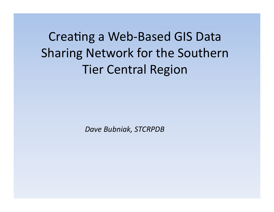**Creating a Web-Based GIS Data Sharing Network for the Southern Tier Central Region** 

Dave Bubniak, STCRPDB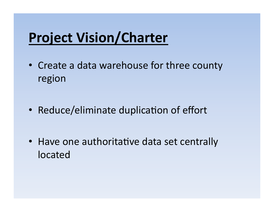# **Project Vision/Charter**

- Create a data warehouse for three county region
- Reduce/eliminate duplication of effort
- Have one authoritative data set centrally **located**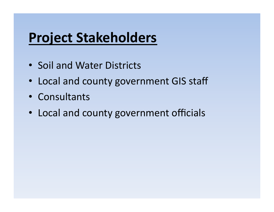# **Project Stakeholders**

- Soil and Water Districts
- Local and county government GIS staff
- Consultants
- Local and county government officials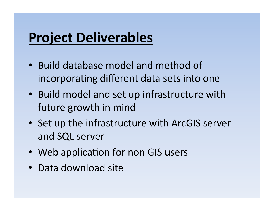# **Project Deliverables**

- Build database model and method of incorporating different data sets into one
- Build model and set up infrastructure with future growth in mind
- Set up the infrastructure with ArcGIS server and SQL server
- Web application for non GIS users
- Data download site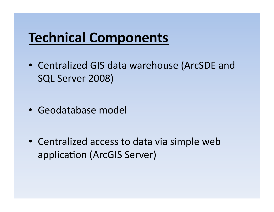## **Technical Components**

- Centralized GIS data warehouse (ArcSDE and SQL Server 2008)
- Geodatabase model

• Centralized access to data via simple web application (ArcGIS Server)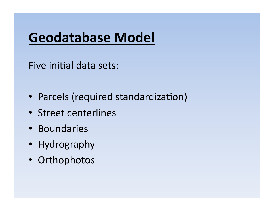# Geodatabase Model

Five initial data sets:

- Parcels (required standardization)
- Street centerlines
- Boundaries
- Hydrography
- Orthophotos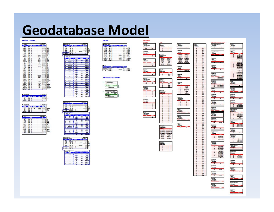## **Geodatabase Model**

### Feature Classes







| æ<br><b>Service Ave</b> |   |  |
|-------------------------|---|--|
|                         |   |  |
|                         | ٠ |  |
|                         |   |  |
|                         |   |  |
|                         |   |  |
|                         |   |  |
|                         |   |  |
|                         |   |  |
|                         |   |  |
| t                       |   |  |
|                         |   |  |
|                         |   |  |
|                         |   |  |
|                         |   |  |
|                         |   |  |
| <b>HOW</b>              |   |  |
|                         |   |  |
|                         |   |  |
|                         |   |  |
|                         |   |  |
|                         |   |  |
|                         |   |  |
| ÷                       |   |  |
| ÷                       |   |  |
| ÷                       |   |  |
|                         |   |  |
|                         |   |  |
|                         |   |  |
| ÷                       |   |  |













Domain



Ī

讍





噩

噩



music.<br>Her

m

Æ

聖

鬻型





ī.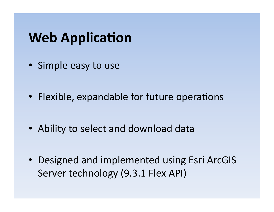## **Web Application**

- Simple easy to use
- Flexible, expandable for future operations
- Ability to select and download data
- Designed and implemented using Esri ArcGIS Server technology (9.3.1 Flex API)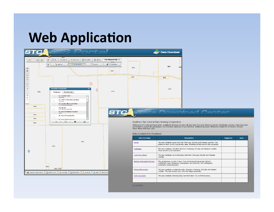### **Web Application**



STC GIS Portal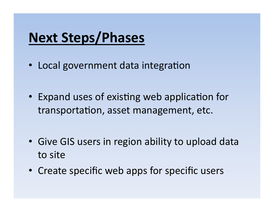## **Next Steps/Phases**

- Local government data integration
- Expand uses of existing web application for transportation, asset management, etc.
- Give GIS users in region ability to upload data to site
- Create specific web apps for specific users